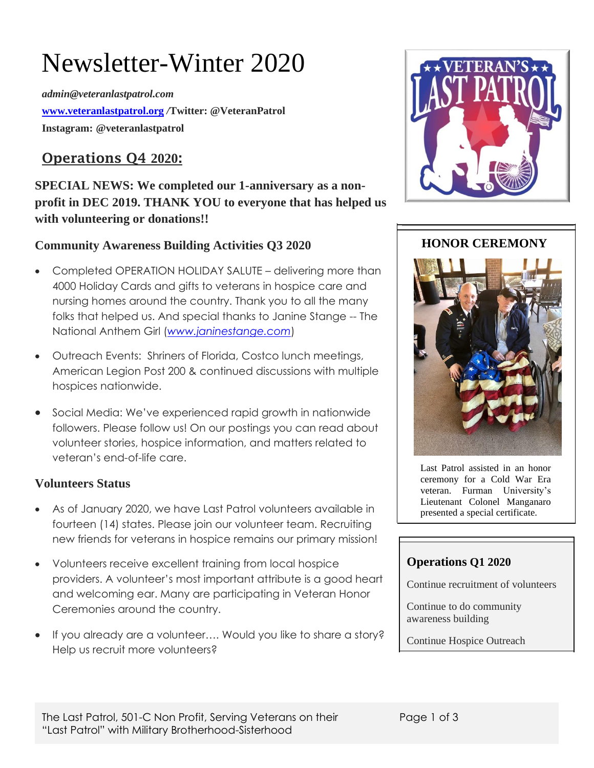# Newsletter-Winter 2020

*admin@veteranlastpatrol.com* **[www.veteranlastpatrol.org](http://www.veteranlastpatrol.org/)** */***Twitter: @VeteranPatrol Instagram: @veteranlastpatrol**

# **Operations Q4 2020:**

**SPECIAL NEWS: We completed our 1-anniversary as a nonprofit in DEC 2019. THANK YOU to everyone that has helped us with volunteering or donations!!**

# **Community Awareness Building Activities Q3 2020**

- Completed OPERATION HOLIDAY SALUTE delivering more than 4000 Holiday Cards and gifts to veterans in hospice care and nursing homes around the country. Thank you to all the many folks that helped us. And special thanks to Janine Stange -- The National Anthem Girl (*[www.janinestange.com](http://www.janinestange.com/)*)
- Outreach Events: Shriners of Florida, Costco lunch meetings, American Legion Post 200 & continued discussions with multiple hospices nationwide.
- Social Media: We've experienced rapid growth in nationwide followers. Please follow us! On our postings you can read about volunteer stories, hospice information, and matters related to veteran's end-of-life care.

## **Volunteers Status**

- As of January 2020, we have Last Patrol volunteers available in fourteen (14) states. Please join our volunteer team. Recruiting new friends for veterans in hospice remains our primary mission!
- Volunteers receive excellent training from local hospice providers. A volunteer's most important attribute is a good heart and welcoming ear. Many are participating in Veteran Honor Ceremonies around the country.
- If you already are a volunteer…. Would you like to share a story? Help us recruit more volunteers?



## **HONOR CEREMONY**



Last Patrol assisted in an honor ceremony for a Cold War Era veteran. Furman University's Lieutenant Colonel Manganaro presented a special certificate.

## **Operations Q1 2020**

Continue recruitment of volunteers

Continue to do community awareness building

Continue Hospice Outreach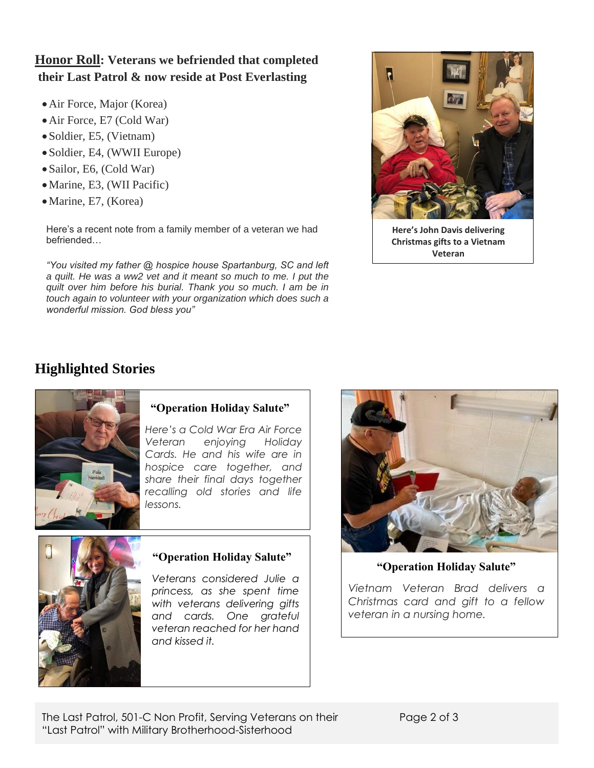# **Honor Roll: Veterans we befriended that completed their Last Patrol & now reside at Post Everlasting**

- •Air Force, Major (Korea)
- Air Force, E7 (Cold War)
- Soldier, E5, (Vietnam)
- Soldier, E4, (WWII Europe)
- Sailor, E6, (Cold War)
- •Marine, E3, (WII Pacific)
- •Marine, E7, (Korea)

Here's a recent note from a family member of a veteran we had befriended…

*"You visited my father @ hospice house Spartanburg, SC and left a quilt. He was a ww2 vet and it meant so much to me. I put the quilt over him before his burial. Thank you so much. I am be in touch again to volunteer with your organization which does such a wonderful mission. God bless you"*



**Here's John Davis delivering Christmas gifts to a Vietnam Veteran**

# **Highlighted Stories**



## **"Operation Holiday Salute"**

*Here's a Cold War Era Air Force Veteran enjoying Holiday Cards. He and his wife are in hospice care together, and share their final days together recalling old stories and life lessons.*



## **"Operation Holiday Salute"**

*Veterans considered Julie a princess, as she spent time with veterans delivering gifts and cards. One grateful veteran reached for her hand and kissed it.*



**"Operation Holiday Salute"**

*Vietnam Veteran Brad delivers a Christmas card and gift to a fellow veteran in a nursing home.*